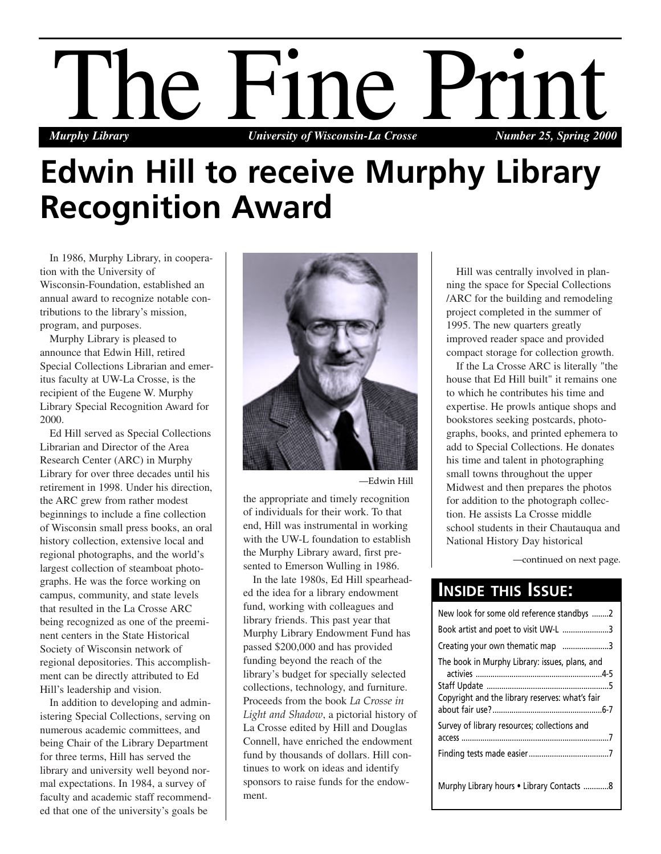

## **Edwin Hill to receive Murphy Library Recognition Award**

In 1986, Murphy Library, in cooperation with the University of Wisconsin-Foundation, established an annual award to recognize notable contributions to the library's mission, program, and purposes.

Murphy Library is pleased to announce that Edwin Hill, retired Special Collections Librarian and emeritus faculty at UW-La Crosse, is the recipient of the Eugene W. Murphy Library Special Recognition Award for 2000.

Ed Hill served as Special Collections Librarian and Director of the Area Research Center (ARC) in Murphy Library for over three decades until his retirement in 1998. Under his direction, the ARC grew from rather modest beginnings to include a fine collection of Wisconsin small press books, an oral history collection, extensive local and regional photographs, and the world's largest collection of steamboat photographs. He was the force working on campus, community, and state levels that resulted in the La Crosse ARC being recognized as one of the preeminent centers in the State Historical Society of Wisconsin network of regional depositories. This accomplishment can be directly attributed to Ed Hill's leadership and vision.

In addition to developing and administering Special Collections, serving on numerous academic committees, and being Chair of the Library Department for three terms, Hill has served the library and university well beyond normal expectations. In 1984, a survey of faculty and academic staff recommended that one of the university's goals be



—Edwin Hill

the appropriate and timely recognition of individuals for their work. To that end, Hill was instrumental in working with the UW-L foundation to establish the Murphy Library award, first presented to Emerson Wulling in 1986.

In the late 1980s, Ed Hill spearheaded the idea for a library endowment fund, working with colleagues and library friends. This past year that Murphy Library Endowment Fund has passed \$200,000 and has provided funding beyond the reach of the library's budget for specially selected collections, technology, and furniture. Proceeds from the book *La Crosse in Light and Shadow*, a pictorial history of La Crosse edited by Hill and Douglas Connell, have enriched the endowment fund by thousands of dollars. Hill continues to work on ideas and identify sponsors to raise funds for the endowment.

Hill was centrally involved in planning the space for Special Collections /ARC for the building and remodeling project completed in the summer of 1995. The new quarters greatly improved reader space and provided compact storage for collection growth.

If the La Crosse ARC is literally "the house that Ed Hill built" it remains one to which he contributes his time and expertise. He prowls antique shops and bookstores seeking postcards, photographs, books, and printed ephemera to add to Special Collections. He donates his time and talent in photographing small towns throughout the upper Midwest and then prepares the photos for addition to the photograph collection. He assists La Crosse middle school students in their Chautauqua and National History Day historical

—continued on next page.

## **INSIDE THIS ISSUE:**

| New look for some old reference standbys 2                                                        |
|---------------------------------------------------------------------------------------------------|
| Book artist and poet to visit UW-L 3                                                              |
| Creating your own thematic map 3                                                                  |
| The book in Murphy Library: issues, plans, and<br>Copyright and the library reserves: what's fair |
| Survey of library resources; collections and                                                      |
|                                                                                                   |
| Murphy Library hours • Library Contacts 8                                                         |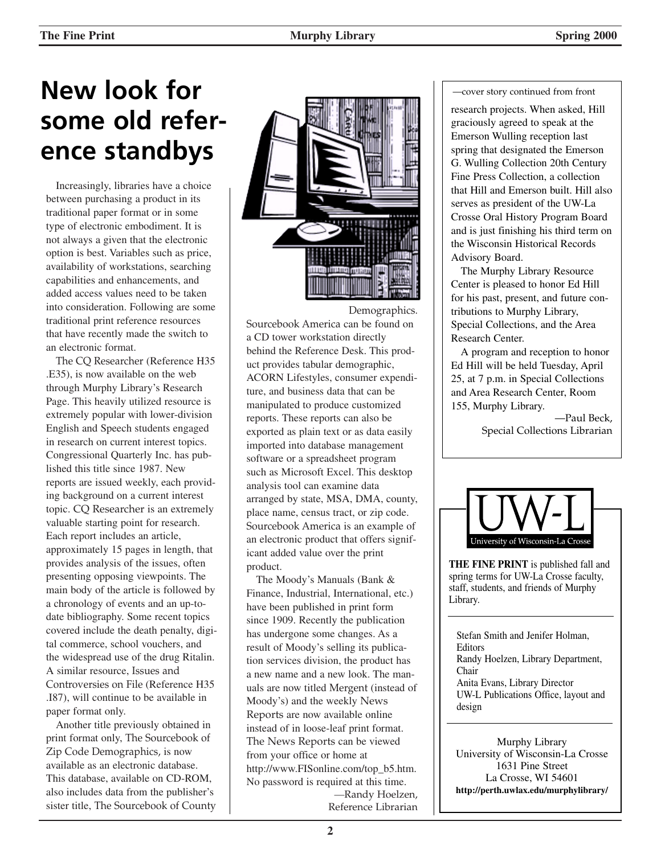## **New look for some old reference standbys**

Increasingly, libraries have a choice between purchasing a product in its traditional paper format or in some type of electronic embodiment. It is not always a given that the electronic option is best. Variables such as price, availability of workstations, searching capabilities and enhancements, and added access values need to be taken into consideration. Following are some traditional print reference resources that have recently made the switch to an electronic format.

The CQ Researcher (Reference H35 .E35), is now available on the web through Murphy Library's Research Page. This heavily utilized resource is extremely popular with lower-division English and Speech students engaged in research on current interest topics. Congressional Quarterly Inc. has published this title since 1987. New reports are issued weekly, each providing background on a current interest topic. CQ Researcher is an extremely valuable starting point for research. Each report includes an article, approximately 15 pages in length, that provides analysis of the issues, often presenting opposing viewpoints. The main body of the article is followed by a chronology of events and an up-todate bibliography. Some recent topics covered include the death penalty, digital commerce, school vouchers, and the widespread use of the drug Ritalin. A similar resource, Issues and Controversies on File (Reference H35 .I87), will continue to be available in paper format only.

Another title previously obtained in print format only, The Sourcebook of Zip Code Demographics, is now available as an electronic database. This database, available on CD-ROM, also includes data from the publisher's sister title, The Sourcebook of County





Sourcebook America can be found on a CD tower workstation directly behind the Reference Desk. This product provides tabular demographic, ACORN Lifestyles, consumer expenditure, and business data that can be manipulated to produce customized reports. These reports can also be exported as plain text or as data easily imported into database management software or a spreadsheet program such as Microsoft Excel. This desktop analysis tool can examine data arranged by state, MSA, DMA, county, place name, census tract, or zip code. Sourcebook America is an example of an electronic product that offers significant added value over the print product.

The Moody's Manuals (Bank & Finance, Industrial, International, etc.) have been published in print form since 1909. Recently the publication has undergone some changes. As a result of Moody's selling its publication services division, the product has a new name and a new look. The manuals are now titled Mergent (instead of Moody's) and the weekly News Reports are now available online instead of in loose-leaf print format. The News Reports can be viewed from your office or home at http://www.FISonline.com/top\_b5.htm. No password is required at this time. —Randy Hoelzen, Reference Librarian

#### —cover story continued from front

research projects. When asked, Hill graciously agreed to speak at the Emerson Wulling reception last spring that designated the Emerson G. Wulling Collection 20th Century Fine Press Collection, a collection that Hill and Emerson built. Hill also serves as president of the UW-La Crosse Oral History Program Board and is just finishing his third term on the Wisconsin Historical Records Advisory Board.

The Murphy Library Resource Center is pleased to honor Ed Hill for his past, present, and future contributions to Murphy Library, Special Collections, and the Area Research Center.

A program and reception to honor Ed Hill will be held Tuesday, April 25, at 7 p.m. in Special Collections and Area Research Center, Room 155, Murphy Library.

> —Paul Beck, Special Collections Librarian



**THE FINE PRINT** is published fall and spring terms for UW-La Crosse faculty, staff, students, and friends of Murphy Library.

Stefan Smith and Jenifer Holman, **Editors** Randy Hoelzen, Library Department, Chair Anita Evans, Library Director UW-L Publications Office, layout and design

Murphy Library University of Wisconsin-La Crosse 1631 Pine Street La Crosse, WI 54601 **http://perth.uwlax.edu/murphylibrary/**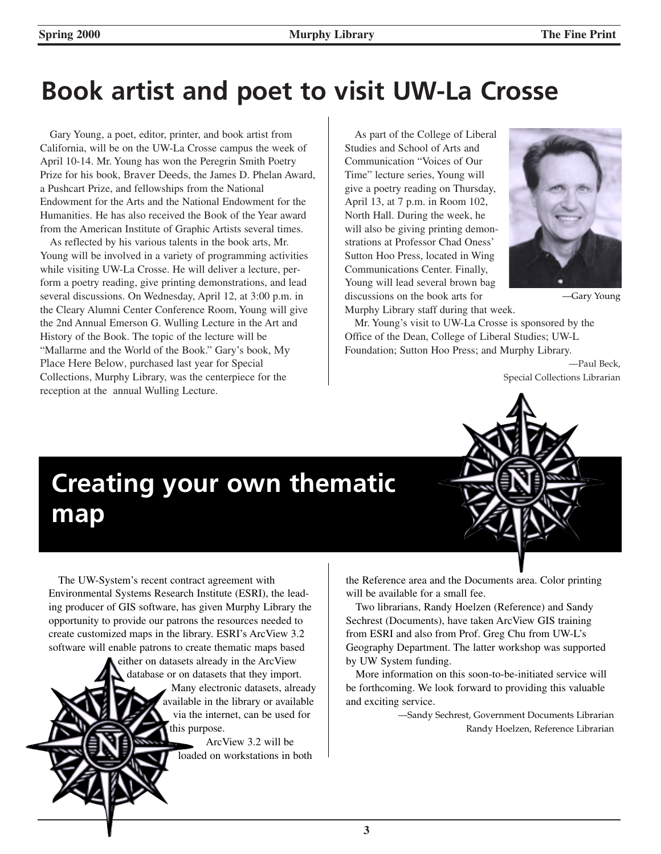## **Book artist and poet to visit UW-La Crosse**

Gary Young, a poet, editor, printer, and book artist from California, will be on the UW-La Crosse campus the week of April 10-14. Mr. Young has won the Peregrin Smith Poetry Prize for his book, Braver Deeds, the James D. Phelan Award, a Pushcart Prize, and fellowships from the National Endowment for the Arts and the National Endowment for the Humanities. He has also received the Book of the Year award from the American Institute of Graphic Artists several times.

As reflected by his various talents in the book arts, Mr. Young will be involved in a variety of programming activities while visiting UW-La Crosse. He will deliver a lecture, perform a poetry reading, give printing demonstrations, and lead several discussions. On Wednesday, April 12, at 3:00 p.m. in the Cleary Alumni Center Conference Room, Young will give the 2nd Annual Emerson G. Wulling Lecture in the Art and History of the Book. The topic of the lecture will be "Mallarme and the World of the Book." Gary's book, My Place Here Below, purchased last year for Special Collections, Murphy Library, was the centerpiece for the reception at the annual Wulling Lecture.

As part of the College of Liberal Studies and School of Arts and Communication "Voices of Our Time" lecture series, Young will give a poetry reading on Thursday, April 13, at 7 p.m. in Room 102, North Hall. During the week, he will also be giving printing demonstrations at Professor Chad Oness' Sutton Hoo Press, located in Wing Communications Center. Finally, Young will lead several brown bag discussions on the book arts for Murphy Library staff during that week.



—Gary Young

Mr. Young's visit to UW-La Crosse is sponsored by the Office of the Dean, College of Liberal Studies; UW-L Foundation; Sutton Hoo Press; and Murphy Library.

> —Paul Beck, Special Collections Librarian

## **Creating your own thematic map**

The UW-System's recent contract agreement with Environmental Systems Research Institute (ESRI), the leading producer of GIS software, has given Murphy Library the opportunity to provide our patrons the resources needed to create customized maps in the library. ESRI's ArcView 3.2 software will enable patrons to create thematic maps based

> either on datasets already in the ArcView database or on datasets that they import. Many electronic datasets, already available in the library or available via the internet, can be used for his purpose.

> > ArcView 3.2 will be loaded on workstations in both

the Reference area and the Documents area. Color printing will be available for a small fee.

Two librarians, Randy Hoelzen (Reference) and Sandy Sechrest (Documents), have taken ArcView GIS training from ESRI and also from Prof. Greg Chu from UW-L's Geography Department. The latter workshop was supported by UW System funding.

More information on this soon-to-be-initiated service will be forthcoming. We look forward to providing this valuable and exciting service.

> —Sandy Sechrest, Government Documents Librarian Randy Hoelzen, Reference Librarian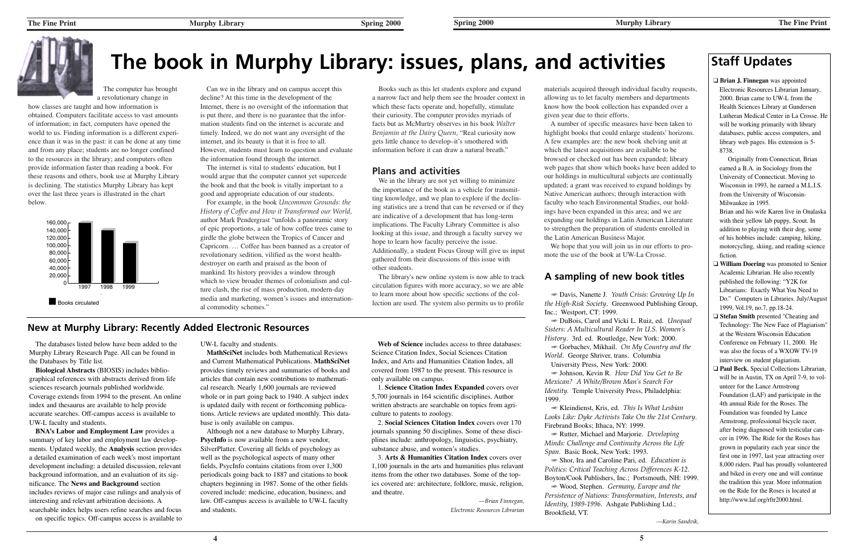## **The Fine Print** *Murphy Library Spring 2000*





# **The book in Murphy Library: issues, plans, and activities Staff Updates**

The computer has brought a revolutionary change in

how classes are taught and how information is obtained. Computers facilitate access to vast amounts of information; in fact, computers have opened the world to us. Finding information is a different experience than it was in the past: it can be done at any time and from any place; students are no longer confined to the resources in the library; and computers often provide information faster than reading a book. For these reasons and others, book use at Murphy Library is declining. The statistics Murphy Library has kept over the last three years is illustrated in the chart below.

Can we in the library and on campus accept this decline? At this time in the development of the Internet, there is no oversight of the information that is put there, and there is no guarantee that the information students find on the internet is accurate andtimely. Indeed, we do not want any oversight of the internet, and its beauty is that it is free to all. However, students must learn to question and evaluate the information found through the internet.

The internet is vital to students' education, but I would argue that the computer cannot yet supercede the book and that the book is vitally important to a good and appropriate education of our students.

For example, in the book *Uncommon Grounds: the History of Coffee and How it Transformed our World,* author Mark Pendergrast "unfolds a panoramic story of epic proportions, a tale of how coffee trees came to girdle the globe between the Tropics of Cancer and Capricorn. … Coffee has been banned as a creator of revolutionary sedition, vilified as the worst healthdestroyer on earth and praised as the boon of mankind. Its history provides a window through which to view broader themes of colonialism and culture clash, the rise of mass production, modern-day media and marketing, women's issues and international commodity schemes."

Books such as this let students explore and expand a narrow fact and help them see the broader context in which these facts operate and, hopefully, stimulate their curiosity. The computer provides myriads of facts but as McMurtry observes in his book *Walter Benjamin at the Dairy Queen,* "Real curiosity now gets little chance to develop–it's smothered with information before it can draw a natural breath."

## **Plans and activities**

We in the library are not yet willing to minimize the importance of the book as a vehicle for transmitting knowledge, and we plan to explore if the declining statistics are a trend that can be reversed or if they are indicative of a development that has long-term implications. The Faculty Library Committee is also looking at this issue, and through a faculty survey we hope to learn how faculty perceive the issue. Additionally, a student Focus Group will give us input gathered from their discussions of this issue with other students.

The library's new online system is now able to track circulation figures with more accuracy, so we are able to learn more about how specific sections of the collection are used. The system also permits us to profile materials acquired through individual faculty requests, allowing us to let faculty members and departments know how the book collection has expanded over a given year due to their efforts.

A number of specific measures have been taken to highlight books that could enlarge students' horizons. A few examples are: the new book shelving unit at which the latest acquisitions are available to be browsed or checked out has been expanded; library web pages that show which books have been added to our holdings in multicultural subjects are continually updated; a grant was received to expand holdings by Native American authors; through interaction with faculty who teach Environmental Studies, our holdings have been expanded in this area; and we are expanding our holdings in Latin American Literature to strengthen the preparation of students enrolled in the Latin American Business Major.

**BNA's Labor and Employment Law** provides a summary of key labor and employment law developments. Updated weekly, the **Analysis** section provides a detailed examination of each week's most important development including: a detailed discussion, relevant background information, and an evaluation of its significance. The **News and Background** section includes reviews of major case rulings and analysis of interesting and relevant arbitration decisions. A searchable index helps users refine searches and focus

We hope that you will join us in our efforts to promote the use of the book at UW-La Crosse.

❑ **Brian J. Finnegan** was appointed Electronic Resources Librarian January, 2000. Brian came to UW-L from the Health Sciences Library at Gundersen Lutheran Medical Center in La Crosse. He will be working primarily with library databases, public access computers, and library web pages. His extension is 5- 8738.

Originally from Connecticut, Brian earned a B.A. in Sociology from the University of Connecticut. Moving to Wisconsin in 1993, he earned a M.L.I.S. from the University of Wisconsin-Milwaukee in 1995.

Brian and his wife Karen live in Onalaska with their yellow lab puppy, Scout. In addition to playing with their dog, some of his hobbies include: camping, hiking, motorcycling, skiing, and reading science fiction.

- ❑ **William Doering** was promoted to Senior Academic Librarian. He also recently published the following: "Y2K for Librarians: Exactly What You Need to Do." Computers in Libraries. July/August 1999, Vol.19, no.7, pp.18-24.
- ❑ **Stefan Smith** presented "Cheating and Technology: The New Face of Plagiarism" at the Western Wisconsin EducationConference on February 11, 2000. He was also the focus of a WXOW TV-19interview on student plagiarism.
- ❑ **Paul Beck**, Special Collections Librarian, will be in Austin, TX on April 7-9, to volunteer for the Lance Armstrong Foundation (LAF) and participate in the 4th annual Ride for the Roses. TheFoundation was founded by Lance Armstrong, professional bicycle racer, after being diagnosed with testicular cancer in 1996. The Ride for the Roses has grown in popularity each year since the first one in 1997, last year attracting over 8,000 riders. Paul has proudly volunteered and biked in every one and will continue the tradition this year. More information on the Ride for the Roses is located at http://www.laf.org/rftr2000.html.



## **A sampling of new book titles**

- Davis, Nanette J. *Youth Crisis: Growing Up In the High-Risk Society*. Greenwood Publishing Group, Inc.; Westport, CT: 1999.

- DuBois, Carol and Vicki L. Ruiz, ed. *Unequal Sisters: A Multicultural Reader In U.S. Women's History*. 3rd. ed. Routledge, New York: 2000. - Gorbachev, Mikhail. *On My Country and the*

*World.* George Shriver, trans. Columbia University Press, New York: 2000.

- Johnson, Kevin R. *How Did You Get to Be Mexican? A White/Brown Man's Search For Identity.* Temple University Press, Philadelphia: 1999.

- Kleindienst, Kris, ed. *This Is What Lesbian* - Rutter, Michael and Marjorie. *Developing* - Shor, Ira and Caroline Pari, ed. *Education is* - Wood, Stephen. *Germany, Europe and the*

*Looks Like: Dyke Activists Take On the 21st Century*. Firebrand Books; Ithaca, NY: 1999. *Minds: Challenge and Continuity Across the Life Span*. Basic Book, New York: 1993. *Politics: Critical Teaching Across Differences K-12.* Boyton/Cook Publishers, Inc.; Portsmouth, NH: 1999.

*Persistence of Nations: Transformation, Interests, and*

*Identity, 1989-1996.* Ashgate Publishing Ltd.; Brookfield, VT.

*—Karin Sandvik,*

The databases listed below have been added to the Murphy Library Research Page. All can be found in the Databases by Title list.

**Biological Abstracts** (BIOSIS) includes bibliographical references with abstracts derived from life sciences research journals published worldwide. Coverage extends from 1994 to the present. An online index and thesaurus are available to help provide accurate searches. Off-campus access is available to UW-L faculty and students.

on specific topics. Off-campus access is available to

UW-L faculty and students.

**MathSciNet** includes both Mathematical Reviewsand Current Mathematical Publications. **MathSciNet** provides timely reviews and summaries of books and articles that contain new contributions to mathematical research. Nearly 1,600 journals are reviewed whole or in part going back to 1940. A subject index is updated daily with recent or forthcoming publications. Article reviews are updated monthly. This database is only available on campus.

Although not a new database to Murphy Library, **PsycInfo** is now available from a new vendor, SilverPlatter. Covering all fields of psychology as well as the psychological aspects of many other fields, PsycInfo contains citations from over 1,300 periodicals going back to 1887 and citations to book chapters beginning in 1987. Some of the other fields covered include: medicine, education, business, and law. Off-campus access is available to UW-L faculty and students.

**Web of Science** includes access to three databases: Science Citation Index, Social Sciences Citation Index, and Arts and Humanities Citation Index, all covered from 1987 to the present. This resource is only available on campus.

1. **Science Citation Index Expanded** covers over 5,700 journals in 164 scientific disciplines. Author written abstracts are searchable on topics from agriculture to patents to zoology.

2. **Social Sciences Citation Index** covers over 170 journals spanning 50 disciplines. Some of these disciplines include: anthropology, linguistics, psychiatry, substance abuse, and women's studies.

3. **Arts & Humanities Citation Index** covers over 1,100 journals in the arts and humanities plus relavant items from the other two databases. Some of the topics covered are: architecture, folklore, music, religion, and theatre.

> *—Brian Finnegan, Electronic Resources Librarian*

## **New at Murphy Library: Recently Added Electronic Resources**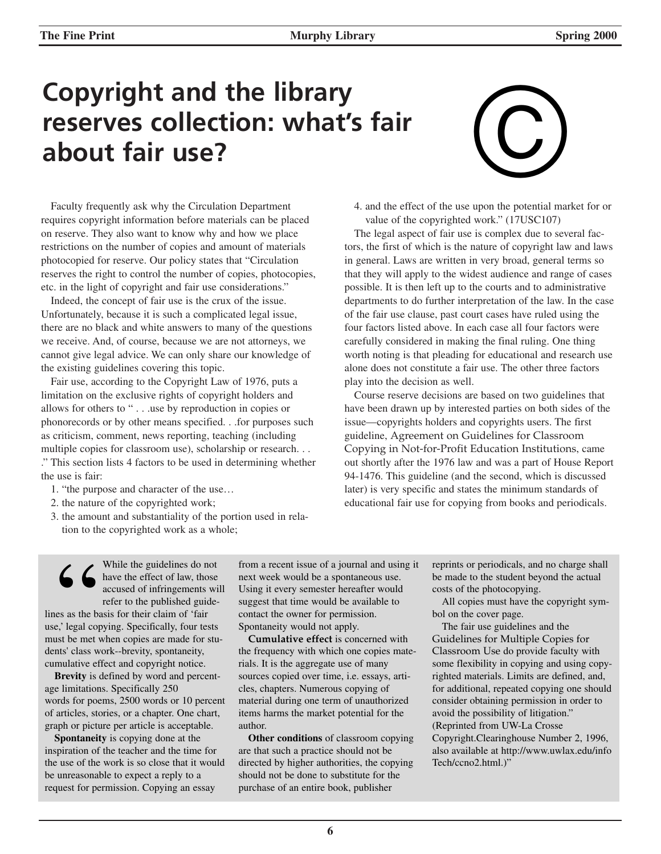## **Copyright and the library reserves collection: what's fair about fair use?**

# e upon the potential mark

Faculty frequently ask why the Circulation Department requires copyright information before materials can be placed on reserve. They also want to know why and how we place restrictions on the number of copies and amount of materials photocopied for reserve. Our policy states that "Circulation reserves the right to control the number of copies, photocopies, etc. in the light of copyright and fair use considerations."

Indeed, the concept of fair use is the crux of the issue. Unfortunately, because it is such a complicated legal issue, there are no black and white answers to many of the questions we receive. And, of course, because we are not attorneys, we cannot give legal advice. We can only share our knowledge of the existing guidelines covering this topic.

Fair use, according to the Copyright Law of 1976, puts a limitation on the exclusive rights of copyright holders and allows for others to " . . .use by reproduction in copies or phonorecords or by other means specified. . .for purposes such as criticism, comment, news reporting, teaching (including multiple copies for classroom use), scholarship or research. . . ." This section lists 4 factors to be used in determining whether the use is fair:

- 1. "the purpose and character of the use…
- 2. the nature of the copyrighted work;
- 3. the amount and substantiality of the portion used in relation to the copyrighted work as a whole;

4. and the effect of the use upon the potential market for or value of the copyrighted work." (17USC107)

The legal aspect of fair use is complex due to several factors, the first of which is the nature of copyright law and laws in general. Laws are written in very broad, general terms so that they will apply to the widest audience and range of cases possible. It is then left up to the courts and to administrative departments to do further interpretation of the law. In the case of the fair use clause, past court cases have ruled using the four factors listed above. In each case all four factors were carefully considered in making the final ruling. One thing worth noting is that pleading for educational and research use alone does not constitute a fair use. The other three factors play into the decision as well.

Course reserve decisions are based on two guidelines that have been drawn up by interested parties on both sides of the issue—copyrights holders and copyrights users. The first guideline, Agreement on Guidelines for Classroom Copying in Not-for-Profit Education Institutions, came out shortly after the 1976 law and was a part of House Report 94-1476. This guideline (and the second, which is discussed later) is very specific and states the minimum standards of educational fair use for copying from books and periodicals.

While the guidelines do not have the effect of law, those accused of infringements will refer to the published guidelines as the basis for their claim of 'fair use,' legal copying. Specifically, four tests While the guidelines do not<br>have the effect of law, those<br>accused of infringements wil<br>refer to the published guide-<br>lines as the basis for their claim of 'fair<br>use,' legal copying. Specifically, four tests<br>must be met whe dents' class work--brevity, spontaneity, cumulative effect and copyright notice.

**Brevity** is defined by word and percentage limitations. Specifically 250 words for poems, 2500 words or 10 percent of articles, stories, or a chapter. One chart, graph or picture per article is acceptable.

**Spontaneity** is copying done at the inspiration of the teacher and the time for the use of the work is so close that it would be unreasonable to expect a reply to a request for permission. Copying an essay

from a recent issue of a journal and using it next week would be a spontaneous use. Using it every semester hereafter would suggest that time would be available to contact the owner for permission. Spontaneity would not apply.

**Cumulative effect** is concerned with the frequency with which one copies materials. It is the aggregate use of many sources copied over time, i.e. essays, articles, chapters. Numerous copying of material during one term of unauthorized items harms the market potential for the author.

**Other conditions** of classroom copying are that such a practice should not be directed by higher authorities, the copying should not be done to substitute for the purchase of an entire book, publisher

reprints or periodicals, and no charge shall be made to the student beyond the actual costs of the photocopying.

All copies must have the copyright symbol on the cover page.

The fair use guidelines and the Guidelines for Multiple Copies for Classroom Use do provide faculty with some flexibility in copying and using copyrighted materials. Limits are defined, and, for additional, repeated copying one should consider obtaining permission in order to avoid the possibility of litigation." (Reprinted from UW-La Crosse Copyright.Clearinghouse Number 2, 1996, also available at http://www.uwlax.edu/info Tech/ccno2.html.)"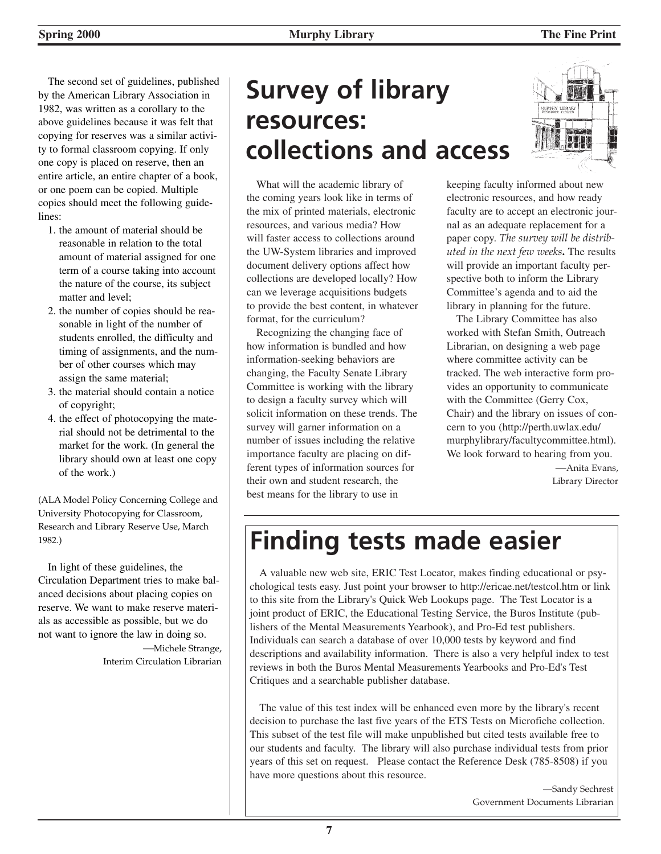The second set of guidelines, published by the American Library Association in 1982, was written as a corollary to the above guidelines because it was felt that copying for reserves was a similar activity to formal classroom copying. If only one copy is placed on reserve, then an entire article, an entire chapter of a book, or one poem can be copied. Multiple copies should meet the following guidelines:

- 1. the amount of material should be reasonable in relation to the total amount of material assigned for one term of a course taking into account the nature of the course, its subject matter and level;
- 2. the number of copies should be reasonable in light of the number of students enrolled, the difficulty and timing of assignments, and the number of other courses which may assign the same material;
- 3. the material should contain a notice of copyright;
- 4. the effect of photocopying the material should not be detrimental to the market for the work. (In general the library should own at least one copy of the work.)

(ALA Model Policy Concerning College and University Photocopying for Classroom, Research and Library Reserve Use, March 1982.)

In light of these guidelines, the Circulation Department tries to make balanced decisions about placing copies on reserve. We want to make reserve materials as accessible as possible, but we do not want to ignore the law in doing so. —Michele Strange,

Interim Circulation Librarian

## **Survey of library resources: collections and access**

What will the academic library of the coming years look like in terms of the mix of printed materials, electronic resources, and various media? How will faster access to collections around the UW-System libraries and improved document delivery options affect how collections are developed locally? How can we leverage acquisitions budgets to provide the best content, in whatever format, for the curriculum?

Recognizing the changing face of how information is bundled and how information-seeking behaviors are changing, the Faculty Senate Library Committee is working with the library to design a faculty survey which will solicit information on these trends. The survey will garner information on a number of issues including the relative importance faculty are placing on different types of information sources for their own and student research, the best means for the library to use in



keeping faculty informed about new electronic resources, and how ready faculty are to accept an electronic journal as an adequate replacement for a paper copy. *The survey will be distributed in the next few weeks***.** The results will provide an important faculty perspective both to inform the Library Committee's agenda and to aid the library in planning for the future.

The Library Committee has also worked with Stefan Smith, Outreach Librarian, on designing a web page where committee activity can be tracked. The web interactive form provides an opportunity to communicate with the Committee (Gerry Cox, Chair) and the library on issues of concern to you (http://perth.uwlax.edu/ murphylibrary/facultycommittee.html). We look forward to hearing from you.

—Anita Evans, Library Director

## **Finding tests made easier**

A valuable new web site, ERIC Test Locator, makes finding educational or psychological tests easy. Just point your browser to http://ericae.net/testcol.htm or link to this site from the Library's Quick Web Lookups page. The Test Locator is a joint product of ERIC, the Educational Testing Service, the Buros Institute (publishers of the Mental Measurements Yearbook), and Pro-Ed test publishers. Individuals can search a database of over 10,000 tests by keyword and find descriptions and availability information. There is also a very helpful index to test reviews in both the Buros Mental Measurements Yearbooks and Pro-Ed's Test Critiques and a searchable publisher database.

The value of this test index will be enhanced even more by the library's recent decision to purchase the last five years of the ETS Tests on Microfiche collection. This subset of the test file will make unpublished but cited tests available free to our students and faculty. The library will also purchase individual tests from prior years of this set on request. Please contact the Reference Desk (785-8508) if you have more questions about this resource.

> —Sandy Sechrest Government Documents Librarian